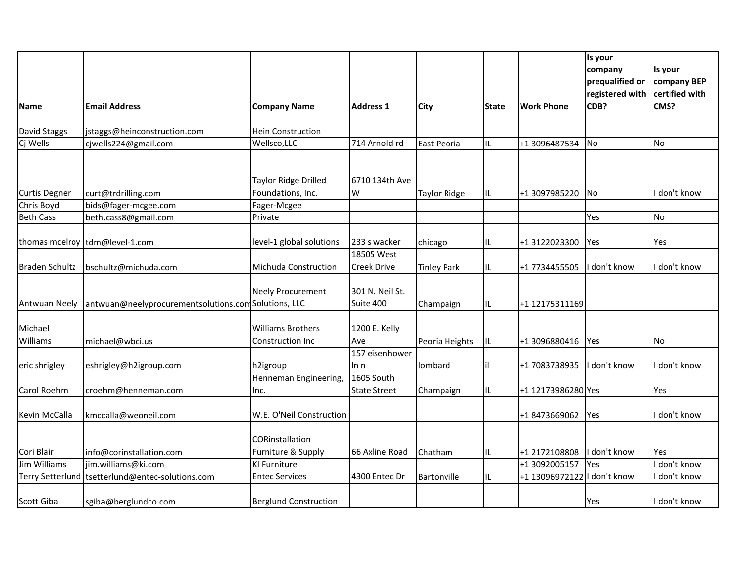|                         |                                                     |                                       |                     |                     |              |                     | Is your                            |                               |
|-------------------------|-----------------------------------------------------|---------------------------------------|---------------------|---------------------|--------------|---------------------|------------------------------------|-------------------------------|
|                         |                                                     |                                       |                     |                     |              |                     | company                            | Is your                       |
|                         |                                                     |                                       |                     |                     |              |                     | prequalified or<br>registered with | company BEP<br>certified with |
| <b>Name</b>             | <b>Email Address</b>                                | <b>Company Name</b>                   | <b>Address 1</b>    | City                | <b>State</b> | <b>Work Phone</b>   | CDB?                               | CMS?                          |
|                         |                                                     |                                       |                     |                     |              |                     |                                    |                               |
| David Staggs            | jstaggs@heinconstruction.com                        | <b>Hein Construction</b>              |                     |                     |              |                     |                                    |                               |
| Cj Wells                | cjwells224@gmail.com                                | Wellsco, LLC                          | 714 Arnold rd       | East Peoria         | IL           | +1 3096487534       | No                                 | <b>No</b>                     |
|                         |                                                     |                                       |                     |                     |              |                     |                                    |                               |
|                         |                                                     | Taylor Ridge Drilled                  | 6710 134th Ave      |                     |              |                     |                                    |                               |
| <b>Curtis Degner</b>    | curt@trdrilling.com                                 | Foundations, Inc.                     | W                   | <b>Taylor Ridge</b> | IL           | +1 3097985220       | No.                                | don't know                    |
| Chris Boyd              | bids@fager-mcgee.com                                | Fager-Mcgee                           |                     |                     |              |                     |                                    |                               |
| <b>Beth Cass</b>        | beth.cass8@gmail.com                                | Private                               |                     |                     |              |                     | Yes                                | No                            |
|                         |                                                     |                                       |                     |                     |              |                     |                                    |                               |
|                         | thomas mcelroy tdm@level-1.com                      | level-1 global solutions              | 233 s wacker        | chicago             | IL           | +1 3122023300       | Yes                                | Yes                           |
|                         |                                                     |                                       | 18505 West          |                     |              |                     |                                    |                               |
| <b>Braden Schultz</b>   | bschultz@michuda.com                                | Michuda Construction                  | <b>Creek Drive</b>  | <b>Tinley Park</b>  | IL.          | +1 7734455505       | I don't know                       | don't know                    |
|                         |                                                     | <b>Neely Procurement</b>              | 301 N. Neil St.     |                     |              |                     |                                    |                               |
| <b>Antwuan Neely</b>    | antwuan@neelyprocurementsolutions.comSolutions, LLC |                                       | Suite 400           | Champaign           | IL           | +1 12175311169      |                                    |                               |
|                         |                                                     |                                       |                     |                     |              |                     |                                    |                               |
| Michael                 |                                                     | <b>Williams Brothers</b>              | 1200 E. Kelly       |                     |              |                     |                                    |                               |
| Williams                | michael@wbci.us                                     | <b>Construction Inc</b>               | Ave                 | Peoria Heights      | IL           | +1 3096880416   Yes |                                    | <b>No</b>                     |
|                         |                                                     |                                       | 157 eisenhower      |                     |              |                     |                                    |                               |
| eric shrigley           | eshrigley@h2igroup.com                              | h2igroup                              | In n                | lombard             | il           | +1 7083738935       | I don't know                       | don't know                    |
|                         |                                                     | Henneman Engineering,                 | 1605 South          |                     |              |                     |                                    |                               |
| Carol Roehm             | croehm@henneman.com                                 | Inc.                                  | <b>State Street</b> | Champaign           | IL           | +1 12173986280 Yes  |                                    | Yes                           |
|                         |                                                     |                                       |                     |                     |              |                     |                                    |                               |
| Kevin McCalla           | kmccalla@weoneil.com                                | W.E. O'Neil Construction              |                     |                     |              | +1 8473669062       | Yes                                | don't know                    |
|                         |                                                     |                                       |                     |                     |              |                     |                                    |                               |
| Cori Blair              | info@corinstallation.com                            | CORinstallation<br>Furniture & Supply | 66 Axline Road      | Chatham             | IL           | +1 2172108808       | I don't know                       | Yes                           |
| Jim Williams            | jim.williams@ki.com                                 | <b>KI Furniture</b>                   |                     |                     |              | +1 3092005157       | Yes                                | don't know                    |
| <b>Terry Setterlund</b> | tsetterlund@entec-solutions.com                     | <b>Entec Services</b>                 | 4300 Entec Dr       | Bartonville         | IL           | +1 13096972122      | I don't know                       | don't know                    |
|                         |                                                     |                                       |                     |                     |              |                     |                                    |                               |
| Scott Giba              | sgiba@berglundco.com                                | <b>Berglund Construction</b>          |                     |                     |              |                     | Yes                                | I don't know                  |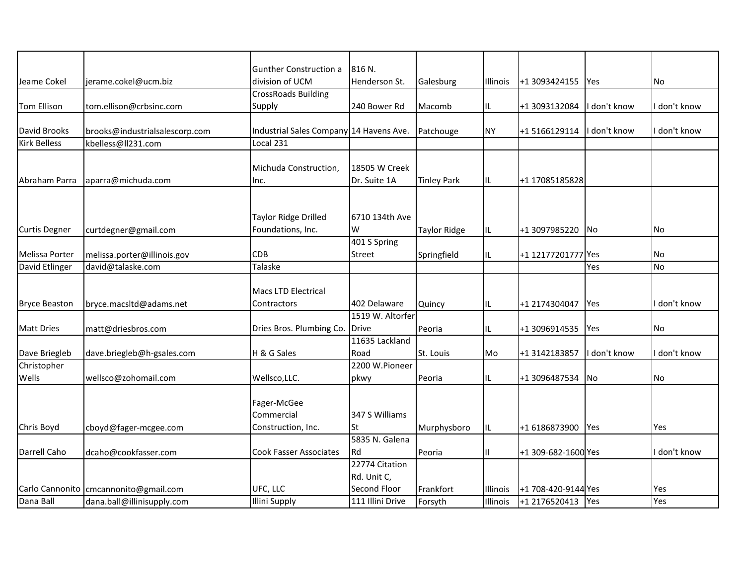|                      |                                         | Gunther Construction a                  | 816 N.           |                     |          |                     |              |              |
|----------------------|-----------------------------------------|-----------------------------------------|------------------|---------------------|----------|---------------------|--------------|--------------|
| Jeame Cokel          | jerame.cokel@ucm.biz                    | division of UCM                         | Henderson St.    | Galesburg           | Illinois | +1 3093424155       | Yes          | No           |
|                      |                                         | <b>CrossRoads Building</b>              |                  |                     |          |                     |              |              |
| <b>Tom Ellison</b>   | tom.ellison@crbsinc.com                 | Supply                                  | 240 Bower Rd     | Macomb              | IL.      | +1 3093132084       | I don't know | don't know   |
|                      |                                         |                                         |                  |                     |          |                     |              |              |
| David Brooks         | brooks@industrialsalescorp.com          | Industrial Sales Company 14 Havens Ave. |                  | Patchouge           | ΝY       | +15166129114        | I don't know | don't know   |
| <b>Kirk Belless</b>  | kbelless@ll231.com                      | Local 231                               |                  |                     |          |                     |              |              |
|                      |                                         |                                         |                  |                     |          |                     |              |              |
|                      |                                         | Michuda Construction,                   | 18505 W Creek    |                     |          |                     |              |              |
| Abraham Parra        | aparra@michuda.com                      | Inc.                                    | Dr. Suite 1A     | <b>Tinley Park</b>  | IL.      | +1 17085185828      |              |              |
|                      |                                         |                                         |                  |                     |          |                     |              |              |
|                      |                                         |                                         |                  |                     |          |                     |              |              |
|                      |                                         | Taylor Ridge Drilled                    | 6710 134th Ave   |                     |          |                     |              |              |
| <b>Curtis Degner</b> | curtdegner@gmail.com                    | Foundations, Inc.                       | W                | <b>Taylor Ridge</b> | IL.      | +1 3097985220       | <b>INo</b>   | No           |
|                      |                                         |                                         | 401 S Spring     |                     |          |                     |              |              |
| Melissa Porter       | melissa.porter@illinois.gov             | <b>CDB</b>                              | Street           | Springfield         | IL.      | +1 12177201777 Yes  |              | No           |
| David Etlinger       | david@talaske.com                       | Talaske                                 |                  |                     |          |                     | Yes          | <b>No</b>    |
|                      |                                         | Macs LTD Electrical                     |                  |                     |          |                     |              |              |
|                      |                                         | Contractors                             | 402 Delaware     |                     |          |                     |              | I don't know |
| <b>Bryce Beaston</b> | bryce.macsItd@adams.net                 |                                         | 1519 W. Altorfer | Quincy              | IL.      | +1 2174304047       | <b>Yes</b>   |              |
| <b>Matt Dries</b>    | matt@driesbros.com                      | Dries Bros. Plumbing Co. Drive          |                  | Peoria              | IL.      | +1 3096914535       | Yes          | <b>No</b>    |
|                      |                                         |                                         | 11635 Lackland   |                     |          |                     |              |              |
| Dave Briegleb        | dave.briegleb@h-gsales.com              | H & G Sales                             | Road             | St. Louis           | Mo       | +1 3142183857       | I don't know | don't know   |
| Christopher          |                                         |                                         | 2200 W.Pioneer   |                     |          |                     |              |              |
| Wells                | wellsco@zohomail.com                    | Wellsco, LLC.                           | pkwy             | Peoria              | IL.      | +1 3096487534       | No           | <b>No</b>    |
|                      |                                         |                                         |                  |                     |          |                     |              |              |
|                      |                                         | Fager-McGee                             |                  |                     |          |                     |              |              |
|                      |                                         | Commercial                              | 347 S Williams   |                     |          |                     |              |              |
| Chris Boyd           | cboyd@fager-mcgee.com                   | Construction, Inc.                      | St               | Murphysboro         | IL.      | +1 6186873900       | Yes          | Yes          |
|                      |                                         |                                         | 5835 N. Galena   |                     |          |                     |              |              |
| Darrell Caho         | dcaho@cookfasser.com                    | <b>Cook Fasser Associates</b>           | Rd               | Peoria              | 11       | +1 309-682-1600 Yes |              | I don't know |
|                      |                                         |                                         | 22774 Citation   |                     |          |                     |              |              |
|                      |                                         |                                         | Rd. Unit C,      |                     |          |                     |              |              |
|                      | Carlo Cannonito   cmcannonito@gmail.com | UFC, LLC                                | Second Floor     | Frankfort           | Illinois | +1 708-420-9144 Yes |              | Yes          |
| Dana Ball            | dana.ball@illinisupply.com              | <b>Illini Supply</b>                    | 111 Illini Drive | Forsyth             | Illinois | +1 2176520413       | Yes          | Yes          |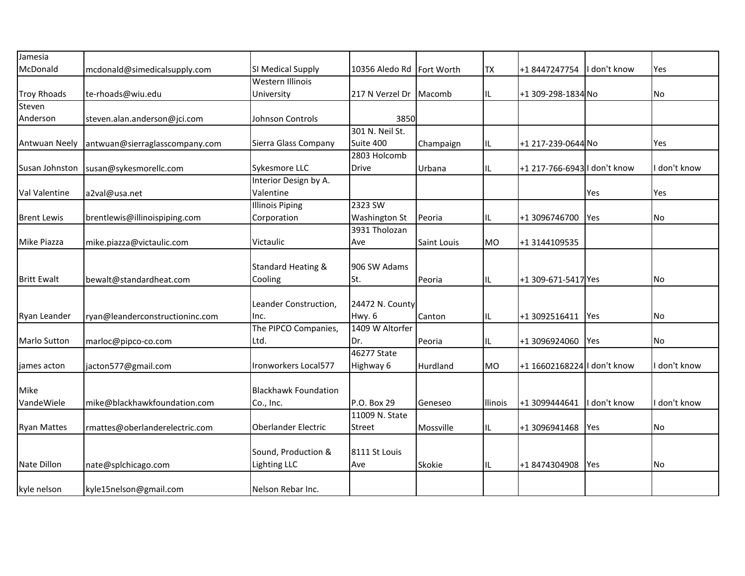| Jamesia             |                                 |                               |                             |             |                |                              |              |            |
|---------------------|---------------------------------|-------------------------------|-----------------------------|-------------|----------------|------------------------------|--------------|------------|
| McDonald            | mcdonald@simedicalsupply.com    | SI Medical Supply             | 10356 Aledo Rd   Fort Worth |             | <b>TX</b>      | +18447247754                 | I don't know | Yes        |
|                     |                                 | Western Illinois              |                             |             |                |                              |              |            |
| <b>Troy Rhoads</b>  | te-rhoads@wiu.edu               | University                    | 217 N Verzel Dr Macomb      |             | IL.            | +1 309-298-1834 No           |              | No         |
| Steven              |                                 |                               |                             |             |                |                              |              |            |
| Anderson            | steven.alan.anderson@jci.com    | Johnson Controls              | 3850                        |             |                |                              |              |            |
|                     |                                 |                               | 301 N. Neil St.             |             |                |                              |              |            |
| Antwuan Neely       | antwuan@sierraglasscompany.com  | Sierra Glass Company          | Suite 400                   | Champaign   | IL.            | +1 217-239-0644 No           |              | Yes        |
|                     |                                 |                               | 2803 Holcomb                |             |                |                              |              |            |
| Susan Johnston      | susan@sykesmorellc.com          | Sykesmore LLC                 | <b>Drive</b>                | Urbana      | IL.            | +1 217-766-6943 I don't know |              | don't know |
|                     |                                 | Interior Design by A.         |                             |             |                |                              |              |            |
| Val Valentine       | a2val@usa.net                   | Valentine                     |                             |             |                |                              | Yes          | Yes        |
|                     |                                 | <b>Illinois Piping</b>        | 2323 SW                     |             |                |                              |              |            |
| <b>Brent Lewis</b>  | brentlewis@illinoispiping.com   | Corporation                   | Washington St               | Peoria      | IL.            | +1 3096746700                | Yes          | No         |
|                     |                                 |                               | 3931 Tholozan               |             |                |                              |              |            |
| Mike Piazza         | mike.piazza@victaulic.com       | Victaulic                     | Ave                         | Saint Louis | <b>MO</b>      | +1 3144109535                |              |            |
|                     |                                 |                               |                             |             |                |                              |              |            |
|                     |                                 | <b>Standard Heating &amp;</b> | 906 SW Adams                |             |                |                              |              |            |
| <b>Britt Ewalt</b>  | bewalt@standardheat.com         | Cooling                       | St.                         | Peoria      | IL             | +1 309-671-5417 Yes          |              | No         |
|                     |                                 |                               |                             |             |                |                              |              |            |
|                     |                                 | Leander Construction,         | 24472 N. County             |             |                |                              |              |            |
| Ryan Leander        | ryan@leanderconstructioninc.com | Inc.                          | Hwy. 6                      | Canton      | IL             | +1 3092516411                | Yes          | <b>No</b>  |
|                     |                                 | The PIPCO Companies,          | 1409 W Altorfer             |             |                |                              |              |            |
| <b>Marlo Sutton</b> | marloc@pipco-co.com             | Ltd.                          | Dr.                         | Peoria      | IL.            | +1 3096924060                | Yes          | lNo.       |
|                     |                                 |                               | 46277 State                 |             |                |                              |              |            |
| james acton         | jacton577@gmail.com             | Ironworkers Local577          | Highway 6                   | Hurdland    | <b>MO</b>      | +1 16602168224 I don't know  |              | don't know |
|                     |                                 |                               |                             |             |                |                              |              |            |
| Mike                |                                 | <b>Blackhawk Foundation</b>   |                             |             |                |                              |              |            |
| VandeWiele          | mike@blackhawkfoundation.com    | Co., Inc.                     | P.O. Box 29                 | Geneseo     | <b>Ilinois</b> | +1 3099444641                | I don't know | don't know |
|                     |                                 |                               | 11009 N. State              |             |                |                              |              |            |
| <b>Ryan Mattes</b>  | rmattes@oberlanderelectric.com  | Oberlander Electric           | <b>Street</b>               | Mossville   | IL.            | +1 3096941468                | Yes          | No         |
|                     |                                 |                               |                             |             |                |                              |              |            |
|                     |                                 | Sound, Production &           | 8111 St Louis               |             |                |                              |              |            |
| Nate Dillon         | nate@splchicago.com             | <b>Lighting LLC</b>           | Ave                         | Skokie      | IL             | +18474304908                 | Yes          | No         |
|                     |                                 |                               |                             |             |                |                              |              |            |
| kyle nelson         | kyle15nelson@gmail.com          | Nelson Rebar Inc.             |                             |             |                |                              |              |            |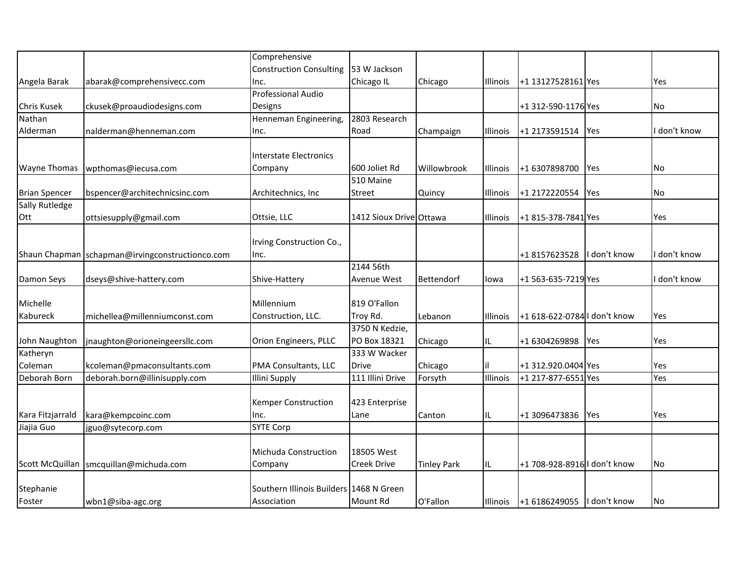|                       |                                                   | Comprehensive                           |                            |                    |          |                              |              |            |
|-----------------------|---------------------------------------------------|-----------------------------------------|----------------------------|--------------------|----------|------------------------------|--------------|------------|
|                       |                                                   | <b>Construction Consulting</b>          | 53 W Jackson               |                    |          |                              |              |            |
| Angela Barak          | abarak@comprehensivecc.com                        | Inc.                                    | Chicago IL                 | Chicago            | Illinois | +1 13127528161 Yes           |              | Yes        |
|                       |                                                   | <b>Professional Audio</b>               |                            |                    |          |                              |              |            |
| <b>Chris Kusek</b>    | ckusek@proaudiodesigns.com                        | Designs                                 |                            |                    |          | +1 312-590-1176 Yes          |              | No         |
| Nathan                |                                                   | Henneman Engineering,                   | 2803 Research              |                    |          |                              |              |            |
| Alderman              | nalderman@henneman.com                            | Inc.                                    | Road                       | Champaign          | Illinois | +1 2173591514                | Yes          | don't know |
|                       |                                                   |                                         |                            |                    |          |                              |              |            |
|                       |                                                   | <b>Interstate Electronics</b>           |                            |                    |          |                              |              |            |
| <b>Wayne Thomas</b>   | wpthomas@iecusa.com                               | Company                                 | 600 Joliet Rd              | Willowbrook        | Illinois | +1 6307898700                | <b>P</b> es  | No         |
|                       |                                                   |                                         | 510 Maine                  |                    |          |                              |              |            |
| <b>Brian Spencer</b>  | bspencer@architechnicsinc.com                     | Architechnics, Inc                      | Street                     | Quincy             | Illinois | +1 2172220554                | Yes          | No         |
| <b>Sally Rutledge</b> |                                                   |                                         |                            |                    |          |                              |              |            |
| Ott                   | ottsiesupply@gmail.com                            | Ottsie, LLC                             | 1412 Sioux Drive Ottawa    |                    | Illinois | +1 815-378-7841 Yes          |              | Yes        |
|                       |                                                   |                                         |                            |                    |          |                              |              |            |
|                       |                                                   | Irving Construction Co.,                |                            |                    |          |                              |              |            |
|                       | Shaun Chapman   schapman@irvingconstructionco.com | Inc.                                    |                            |                    |          | +18157623528                 | I don't know | don't know |
|                       |                                                   |                                         | 2144 56th                  |                    |          |                              |              |            |
| Damon Seys            | dseys@shive-hattery.com                           | Shive-Hattery                           | Avenue West                | Bettendorf         | lowa     | +1 563-635-7219 Yes          |              | don't know |
|                       |                                                   |                                         |                            |                    |          |                              |              |            |
| Michelle              |                                                   | Millennium                              | 819 O'Fallon               |                    |          |                              |              |            |
| Kabureck              | michellea@millenniumconst.com                     | Construction, LLC.                      | Troy Rd.<br>3750 N Kedzie, | Lebanon            | Illinois | +1 618-622-0784 I don't know |              | Yes        |
| John Naughton         | jnaughton@orioneingeersllc.com                    | Orion Engineers, PLLC                   | PO Box 18321               |                    |          | +1 6304269898                | Yes          | Yes        |
| Katheryn              |                                                   |                                         | 333 W Wacker               | Chicago            | IL       |                              |              |            |
| Coleman               | kcoleman@pmaconsultants.com                       | PMA Consultants, LLC                    | <b>Drive</b>               | Chicago            |          | +1 312.920.0404 Yes          |              | Yes        |
| Deborah Born          | deborah.born@illinisupply.com                     | <b>Illini Supply</b>                    | 111 Illini Drive           | Forsyth            | Illinois | +1 217-877-6551 Yes          |              | Yes        |
|                       |                                                   |                                         |                            |                    |          |                              |              |            |
|                       |                                                   | <b>Kemper Construction</b>              | 423 Enterprise             |                    |          |                              |              |            |
| Kara Fitzjarrald      | kara@kempcoinc.com                                | Inc.                                    | Lane                       | Canton             | IL       | +1 3096473836                | Yes          | Yes        |
| Jiajia Guo            | jguo@sytecorp.com                                 | <b>SYTE Corp</b>                        |                            |                    |          |                              |              |            |
|                       |                                                   |                                         |                            |                    |          |                              |              |            |
|                       |                                                   | Michuda Construction                    | 18505 West                 |                    |          |                              |              |            |
| Scott McQuillan       | smcquillan@michuda.com                            | Company                                 | Creek Drive                | <b>Tinley Park</b> | IL.      | +1 708-928-8916 I don't know |              | No         |
|                       |                                                   |                                         |                            |                    |          |                              |              |            |
| Stephanie             |                                                   | Southern Illinois Builders 1468 N Green |                            |                    |          |                              |              |            |
| Foster                | wbn1@siba-agc.org                                 | Association                             | Mount Rd                   | O'Fallon           | Illinois | +1 6186249055                | I don't know | No         |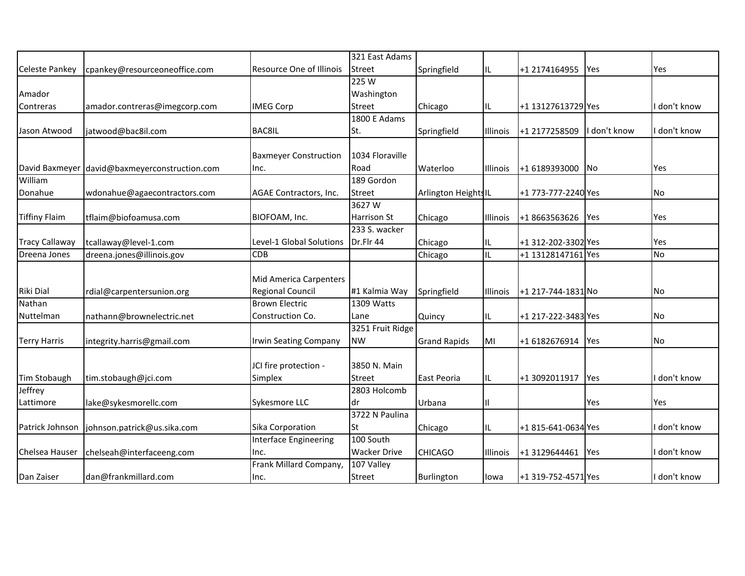|                       |                                               |                               | 321 East Adams      |                      |          |                     |            |              |
|-----------------------|-----------------------------------------------|-------------------------------|---------------------|----------------------|----------|---------------------|------------|--------------|
| <b>Celeste Pankey</b> | cpankey@resourceoneoffice.com                 | Resource One of Illinois      | <b>Street</b>       | Springfield          | IL       | +1 2174164955       | Yes        | Yes          |
|                       |                                               |                               | 225W                |                      |          |                     |            |              |
| Amador                |                                               |                               | Washington          |                      |          |                     |            |              |
| Contreras             | amador.contreras@imegcorp.com                 | <b>IMEG Corp</b>              | <b>Street</b>       | Chicago              | IL       | +1 13127613729 Yes  |            | I don't know |
|                       |                                               |                               | 1800 E Adams        |                      |          |                     |            |              |
| Jason Atwood          | jatwood@bac8il.com                            | <b>BAC8IL</b>                 | St.                 | Springfield          | Illinois | +1 2177258509       | don't know | I don't know |
|                       |                                               |                               |                     |                      |          |                     |            |              |
|                       |                                               | <b>Baxmeyer Construction</b>  | 1034 Floraville     |                      |          |                     |            |              |
|                       | David Baxmeyer david@baxmeyerconstruction.com | Inc.                          | Road                | Waterloo             | Illinois | +1 6189393000       | No         | Yes          |
| William               |                                               |                               | 189 Gordon          |                      |          |                     |            |              |
| Donahue               | wdonahue@agaecontractors.com                  | AGAE Contractors, Inc.        | <b>Street</b>       | Arlington Heights IL |          | +1 773-777-2240 Yes |            | No           |
|                       |                                               |                               | 3627W               |                      |          |                     |            |              |
| <b>Tiffiny Flaim</b>  | tflaim@biofoamusa.com                         | BIOFOAM, Inc.                 | <b>Harrison St</b>  | Chicago              | Illinois | +1 8663563626       | Yes        | Yes          |
|                       |                                               |                               | 233 S. wacker       |                      |          |                     |            |              |
| <b>Tracy Callaway</b> | tcallaway@level-1.com                         | Level-1 Global Solutions      | Dr.Flr 44           | Chicago              | IL       | +1 312-202-3302 Yes |            | Yes          |
| Dreena Jones          | dreena.jones@illinois.gov                     | <b>CDB</b>                    |                     | Chicago              | IL       | +1 13128147161 Yes  |            | No           |
|                       |                                               |                               |                     |                      |          |                     |            |              |
|                       |                                               | <b>Mid America Carpenters</b> |                     |                      |          |                     |            |              |
| Riki Dial             | rdial@carpentersunion.org                     | <b>Regional Council</b>       | #1 Kalmia Way       | Springfield          | Illinois | +1 217-744-1831 No  |            | No           |
| Nathan                |                                               | <b>Brown Electric</b>         | 1309 Watts          |                      |          |                     |            |              |
| Nuttelman             | nathann@brownelectric.net                     | Construction Co.              | Lane                | Quincy               | IL.      | +1 217-222-3483 Yes |            | No.          |
|                       |                                               |                               | 3251 Fruit Ridge    |                      |          |                     |            |              |
| <b>Terry Harris</b>   | integrity.harris@gmail.com                    | Irwin Seating Company         | <b>NW</b>           | <b>Grand Rapids</b>  | MI       | +1 6182676914       | Yes        | No           |
|                       |                                               |                               |                     |                      |          |                     |            |              |
|                       |                                               | JCI fire protection -         | 3850 N. Main        |                      |          |                     |            |              |
| Tim Stobaugh          | tim.stobaugh@jci.com                          | Simplex                       | <b>Street</b>       | East Peoria          | IL       | +1 3092011917       | Yes        | I don't know |
| Jeffrey               |                                               |                               | 2803 Holcomb        |                      |          |                     |            |              |
| Lattimore             | lake@sykesmorellc.com                         | Sykesmore LLC                 | ldr                 | Urbana               | Ш        |                     | Yes        | Yes          |
|                       |                                               |                               | 3722 N Paulina      |                      |          |                     |            |              |
| Patrick Johnson       | johnson.patrick@us.sika.com                   | Sika Corporation              | lSt                 | Chicago              | IL       | +1 815-641-0634 Yes |            | I don't know |
|                       |                                               | <b>Interface Engineering</b>  | 100 South           |                      |          |                     |            |              |
| Chelsea Hauser        | chelseah@interfaceeng.com                     | Inc.                          | <b>Wacker Drive</b> | <b>CHICAGO</b>       | Illinois | +1 3129644461       | Yes        | I don't know |
|                       |                                               | Frank Millard Company,        | 107 Valley          |                      |          |                     |            |              |
| Dan Zaiser            | dan@frankmillard.com                          | Inc.                          | <b>Street</b>       | Burlington           | lowa     | +1 319-752-4571 Yes |            | I don't know |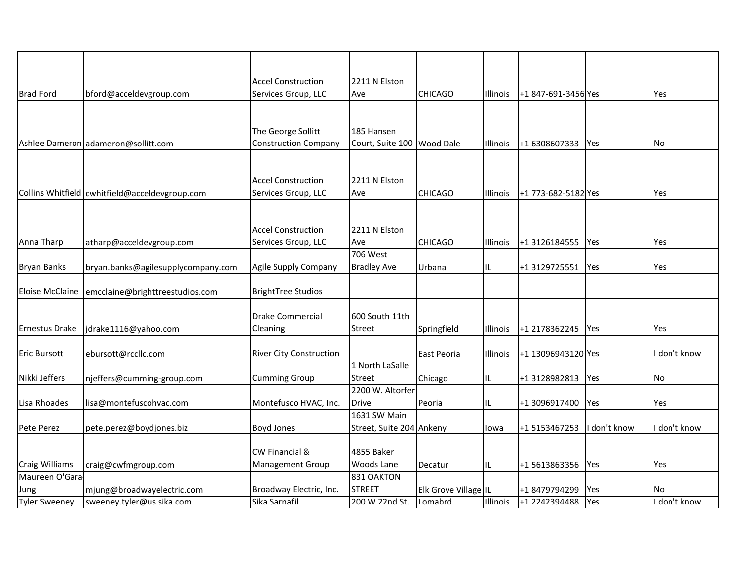| <b>Brad Ford</b>       | bford@acceldevgroup.com                          | <b>Accel Construction</b><br>Services Group, LLC | 2211 N Elston<br>Ave              | <b>CHICAGO</b>       | Illinois        | +1 847-691-3456 Yes |              | Yes          |
|------------------------|--------------------------------------------------|--------------------------------------------------|-----------------------------------|----------------------|-----------------|---------------------|--------------|--------------|
|                        |                                                  |                                                  |                                   |                      |                 |                     |              |              |
|                        |                                                  |                                                  |                                   |                      |                 |                     |              |              |
|                        |                                                  | The George Sollitt                               | 185 Hansen                        |                      |                 |                     |              |              |
|                        | Ashlee Dameron adameron@sollitt.com              | <b>Construction Company</b>                      | Court, Suite 100                  | <b>Wood Dale</b>     | <b>Illinois</b> | +1 6308607333       | <b>Yes</b>   | No.          |
|                        |                                                  |                                                  |                                   |                      |                 |                     |              |              |
|                        |                                                  |                                                  |                                   |                      |                 |                     |              |              |
|                        | Collins Whitfield   cwhitfield@acceldevgroup.com | <b>Accel Construction</b><br>Services Group, LLC | 2211 N Elston<br>Ave              | <b>CHICAGO</b>       | Illinois        | +1 773-682-5182 Yes |              | Yes          |
|                        |                                                  |                                                  |                                   |                      |                 |                     |              |              |
|                        |                                                  |                                                  |                                   |                      |                 |                     |              |              |
|                        |                                                  | <b>Accel Construction</b>                        | 2211 N Elston                     |                      |                 |                     |              |              |
| Anna Tharp             | atharp@acceldevgroup.com                         | Services Group, LLC                              | Ave                               | <b>CHICAGO</b>       | <b>Illinois</b> | +1 3126184555       | Yes          | Yes          |
|                        |                                                  |                                                  | <b>706 West</b>                   |                      |                 |                     |              |              |
| <b>Bryan Banks</b>     | bryan.banks@agilesupplycompany.com               | Agile Supply Company                             | <b>Bradley Ave</b>                | Urbana               | IL              | +1 3129725551       | Yes          | Yes          |
| <b>Eloise McClaine</b> | emcclaine@brighttreestudios.com                  | <b>BrightTree Studios</b>                        |                                   |                      |                 |                     |              |              |
|                        |                                                  |                                                  |                                   |                      |                 |                     |              |              |
|                        |                                                  | Drake Commercial                                 | 600 South 11th                    |                      |                 |                     |              |              |
| <b>Ernestus Drake</b>  | jdrake1116@yahoo.com                             | Cleaning                                         | <b>Street</b>                     | Springfield          | Illinois        | +1 2178362245       | <b>P</b> Yes | Yes          |
|                        |                                                  |                                                  |                                   |                      |                 |                     |              |              |
| <b>Eric Bursott</b>    | ebursott@rccllc.com                              | <b>River City Construction</b>                   |                                   | East Peoria          | Illinois        | +1 13096943120 Yes  |              | don't know   |
|                        |                                                  |                                                  | 1 North LaSalle                   |                      |                 |                     |              |              |
| Nikki Jeffers          | njeffers@cumming-group.com                       | <b>Cumming Group</b>                             | <b>Street</b><br>2200 W. Altorfer | Chicago              | IL              | +1 3128982813       | Yes          | No           |
| Lisa Rhoades           | lisa@montefuscohvac.com                          | Montefusco HVAC, Inc.                            | <b>Drive</b>                      | Peoria               | IL              | +1 3096917400       | Yes          | Yes          |
|                        |                                                  |                                                  | 1631 SW Main                      |                      |                 |                     |              |              |
| Pete Perez             | pete.perez@boydjones.biz                         | <b>Boyd Jones</b>                                | Street, Suite 204 Ankeny          |                      | lowa            | +1 5153467253       | I don't know | don't know   |
|                        |                                                  |                                                  |                                   |                      |                 |                     |              |              |
|                        |                                                  | CW Financial &                                   | 4855 Baker                        |                      |                 |                     |              |              |
| <b>Craig Williams</b>  | craig@cwfmgroup.com                              | Management Group                                 | <b>Woods Lane</b>                 | Decatur              | IL              | +1 5613863356       | <b>Yes</b>   | Yes          |
| Maureen O'Gara         |                                                  |                                                  | 831 OAKTON                        |                      |                 |                     |              |              |
| Jung                   | mjung@broadwayelectric.com                       | Broadway Electric, Inc.                          | <b>STREET</b>                     | Elk Grove Village IL |                 | +1 8479794299       | Yes          | No           |
| <b>Tyler Sweeney</b>   | sweeney.tyler@us.sika.com                        | Sika Sarnafil                                    | 200 W 22nd St.                    | Lomabrd              | Illinois        | +1 2242394488       | Yes          | I don't know |